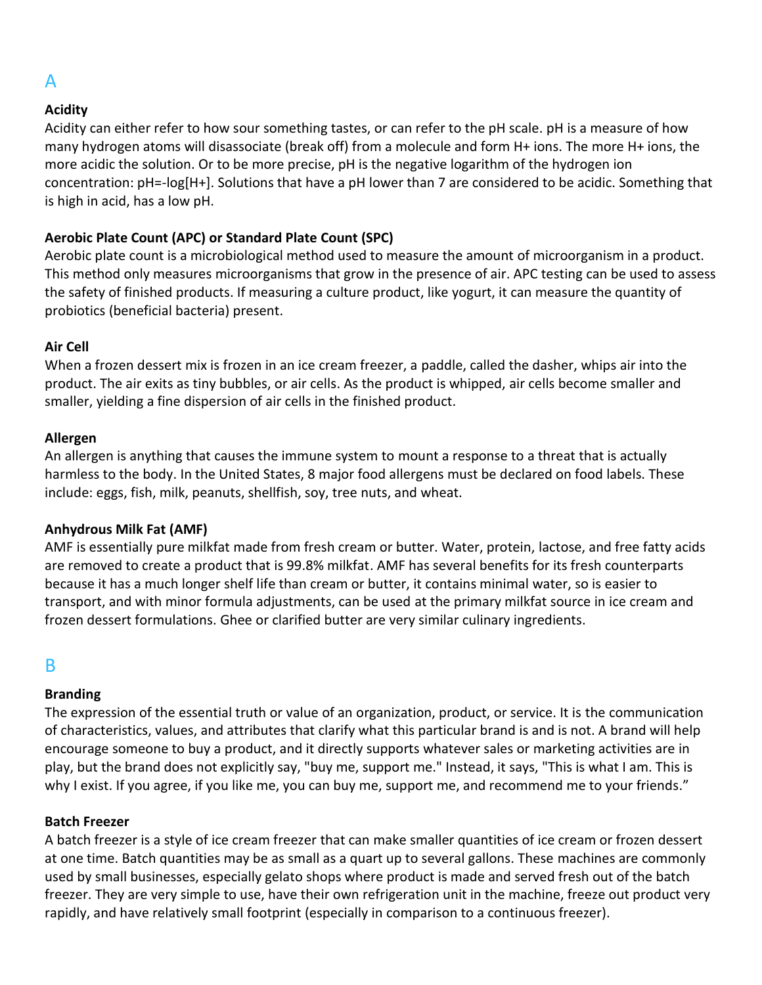# A

## **Acidity**

Acidity can either refer to how sour something tastes, or can refer to the pH scale. pH is a measure of how many hydrogen atoms will disassociate (break off) from a molecule and form H+ ions. The more H+ ions, the more acidic the solution. Or to be more precise, pH is the negative logarithm of the hydrogen ion concentration: pH=-log[H+]. Solutions that have a pH lower than 7 are considered to be acidic. Something that is high in acid, has a low pH.

## **Aerobic Plate Count (APC) or Standard Plate Count (SPC)**

Aerobic plate count is a microbiological method used to measure the amount of microorganism in a product. This method only measures microorganisms that grow in the presence of air. APC testing can be used to assess the safety of finished products. If measuring a culture product, like yogurt, it can measure the quantity of probiotics (beneficial bacteria) present.

## **Air Cell**

When a frozen dessert mix is frozen in an ice cream freezer, a paddle, called the dasher, whips air into the product. The air exits as tiny bubbles, or air cells. As the product is whipped, air cells become smaller and smaller, yielding a fine dispersion of air cells in the finished product.

## **Allergen**

An allergen is anything that causes the immune system to mount a response to a threat that is actually harmless to the body. In the United States, 8 major food allergens must be declared on food labels. These include: eggs, fish, milk, peanuts, shellfish, soy, tree nuts, and wheat.

## **Anhydrous Milk Fat (AMF)**

AMF is essentially pure milkfat made from fresh cream or butter. Water, protein, lactose, and free fatty acids are removed to create a product that is 99.8% milkfat. AMF has several benefits for its fresh counterparts because it has a much longer shelf life than cream or butter, it contains minimal water, so is easier to transport, and with minor formula adjustments, can be used at the primary milkfat source in ice cream and frozen dessert formulations. Ghee or clarified butter are very similar culinary ingredients.

## B

## **Branding**

The expression of the essential truth or value of an organization, product, or service. It is the communication of characteristics, values, and attributes that clarify what this particular brand is and is not. A brand will help encourage someone to buy a product, and it directly supports whatever sales or marketing activities are in play, but the brand does not explicitly say, "buy me, support me." Instead, it says, "This is what I am. This is why I exist. If you agree, if you like me, you can buy me, support me, and recommend me to your friends."

## **Batch Freezer**

A batch freezer is a style of ice cream freezer that can make smaller quantities of ice cream or frozen dessert at one time. Batch quantities may be as small as a quart up to several gallons. These machines are commonly used by small businesses, especially gelato shops where product is made and served fresh out of the batch freezer. They are very simple to use, have their own refrigeration unit in the machine, freeze out product very rapidly, and have relatively small footprint (especially in comparison to a continuous freezer).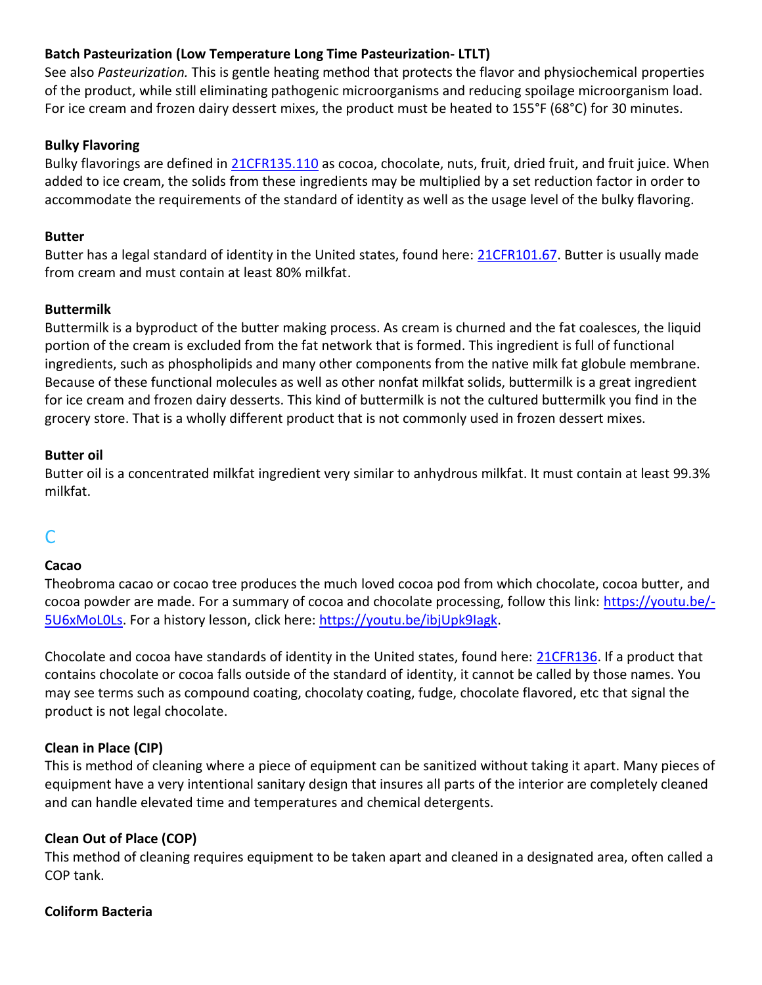## **Batch Pasteurization (Low Temperature Long Time Pasteurization- LTLT)**

See also *Pasteurization.* This is gentle heating method that protects the flavor and physiochemical properties of the product, while still eliminating pathogenic microorganisms and reducing spoilage microorganism load. For ice cream and frozen dairy dessert mixes, the product must be heated to 155°F (68°C) for 30 minutes.

#### **Bulky Flavoring**

Bulky flavorings are defined in [21CFR135.110](https://www.accessdata.fda.gov/scripts/cdrh/cfdocs/cfcfr/CFRSearch.cfm?fr=135.110) as cocoa, chocolate, nuts, fruit, dried fruit, and fruit juice. When added to ice cream, the solids from these ingredients may be multiplied by a set reduction factor in order to accommodate the requirements of the standard of identity as well as the usage level of the bulky flavoring.

#### **Butter**

Butter has a legal standard of identity in the United states, found here: [21CFR101.67.](https://www.accessdata.fda.gov/scripts/cdrh/cfdocs/cfcfr/CFRSearch.cfm?fr=101.67) Butter is usually made from cream and must contain at least 80% milkfat.

### **Buttermilk**

Buttermilk is a byproduct of the butter making process. As cream is churned and the fat coalesces, the liquid portion of the cream is excluded from the fat network that is formed. This ingredient is full of functional ingredients, such as phospholipids and many other components from the native milk fat globule membrane. Because of these functional molecules as well as other nonfat milkfat solids, buttermilk is a great ingredient for ice cream and frozen dairy desserts. This kind of buttermilk is not the cultured buttermilk you find in the grocery store. That is a wholly different product that is not commonly used in frozen dessert mixes.

#### **Butter oil**

Butter oil is a concentrated milkfat ingredient very similar to anhydrous milkfat. It must contain at least 99.3% milkfat.

# $\mathsf{\Gamma}$

## **Cacao**

Theobroma cacao or cocao tree produces the much loved cocoa pod from which chocolate, cocoa butter, and cocoa powder are made. For a summary of cocoa and chocolate processing, follow this link: [https://youtu.be/](https://youtu.be/-5U6xMoL0Ls) 5U6xMoLOLs. For a history lesson, click here: [https://youtu.be/ibjUpk9Iagk.](https://youtu.be/ibjUpk9Iagk)

Chocolate and cocoa have standards of identity in the United states, found here: [21CFR136.](https://www.accessdata.fda.gov/scripts/cdrh/cfdocs/cfcfr/CFRSearch.cfm?CFRPart=163) If a product that contains chocolate or cocoa falls outside of the standard of identity, it cannot be called by those names. You may see terms such as compound coating, chocolaty coating, fudge, chocolate flavored, etc that signal the product is not legal chocolate.

## **Clean in Place (CIP)**

This is method of cleaning where a piece of equipment can be sanitized without taking it apart. Many pieces of equipment have a very intentional sanitary design that insures all parts of the interior are completely cleaned and can handle elevated time and temperatures and chemical detergents.

## **Clean Out of Place (COP)**

This method of cleaning requires equipment to be taken apart and cleaned in a designated area, often called a COP tank.

#### **Coliform Bacteria**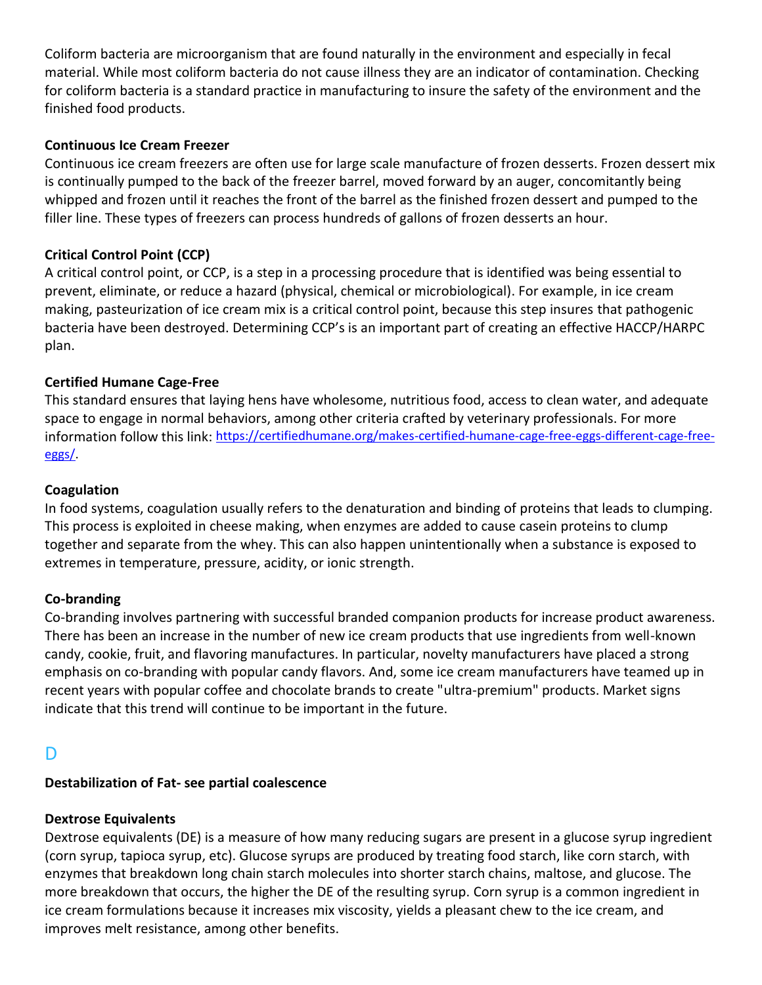Coliform bacteria are microorganism that are found naturally in the environment and especially in fecal material. While most coliform bacteria do not cause illness they are an indicator of contamination. Checking for coliform bacteria is a standard practice in manufacturing to insure the safety of the environment and the finished food products.

### **Continuous Ice Cream Freezer**

Continuous ice cream freezers are often use for large scale manufacture of frozen desserts. Frozen dessert mix is continually pumped to the back of the freezer barrel, moved forward by an auger, concomitantly being whipped and frozen until it reaches the front of the barrel as the finished frozen dessert and pumped to the filler line. These types of freezers can process hundreds of gallons of frozen desserts an hour.

## **Critical Control Point (CCP)**

A critical control point, or CCP, is a step in a processing procedure that is identified was being essential to prevent, eliminate, or reduce a hazard (physical, chemical or microbiological). For example, in ice cream making, pasteurization of ice cream mix is a critical control point, because this step insures that pathogenic bacteria have been destroyed. Determining CCP's is an important part of creating an effective HACCP/HARPC plan.

### **Certified Humane Cage-Free**

This standard ensures that laying hens have wholesome, nutritious food, access to clean water, and adequate space to engage in normal behaviors, among other criteria crafted by veterinary professionals. For more information follow this link: [https://certifiedhumane.org/makes-certified-humane-cage-free-eggs-different-cage-free](https://certifiedhumane.org/makes-certified-humane-cage-free-eggs-different-cage-free-eggs/)[eggs/.](https://certifiedhumane.org/makes-certified-humane-cage-free-eggs-different-cage-free-eggs/)

### **Coagulation**

In food systems, coagulation usually refers to the denaturation and binding of proteins that leads to clumping. This process is exploited in cheese making, when enzymes are added to cause casein proteins to clump together and separate from the whey. This can also happen unintentionally when a substance is exposed to extremes in temperature, pressure, acidity, or ionic strength.

#### **Co-branding**

Co-branding involves partnering with successful branded companion products for increase product awareness. There has been an increase in the number of new ice cream products that use ingredients from well-known candy, cookie, fruit, and flavoring manufactures. In particular, novelty manufacturers have placed a strong emphasis on co-branding with popular candy flavors. And, some ice cream manufacturers have teamed up in recent years with popular coffee and chocolate brands to create "ultra-premium" products. Market signs indicate that this trend will continue to be important in the future.

## D

## **Destabilization of Fat- see partial coalescence**

## **Dextrose Equivalents**

Dextrose equivalents (DE) is a measure of how many reducing sugars are present in a glucose syrup ingredient (corn syrup, tapioca syrup, etc). Glucose syrups are produced by treating food starch, like corn starch, with enzymes that breakdown long chain starch molecules into shorter starch chains, maltose, and glucose. The more breakdown that occurs, the higher the DE of the resulting syrup. Corn syrup is a common ingredient in ice cream formulations because it increases mix viscosity, yields a pleasant chew to the ice cream, and improves melt resistance, among other benefits.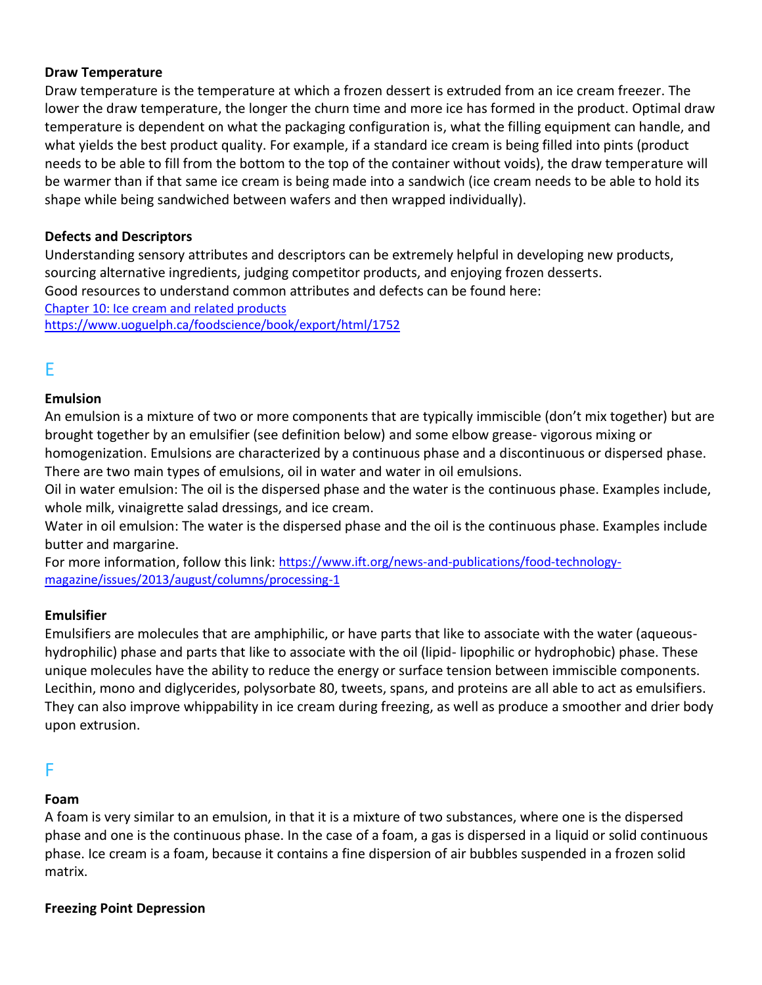#### **Draw Temperature**

Draw temperature is the temperature at which a frozen dessert is extruded from an ice cream freezer. The lower the draw temperature, the longer the churn time and more ice has formed in the product. Optimal draw temperature is dependent on what the packaging configuration is, what the filling equipment can handle, and what yields the best product quality. For example, if a standard ice cream is being filled into pints (product needs to be able to fill from the bottom to the top of the container without voids), the draw temperature will be warmer than if that same ice cream is being made into a sandwich (ice cream needs to be able to hold its shape while being sandwiched between wafers and then wrapped individually).

### **Defects and Descriptors**

Understanding sensory attributes and descriptors can be extremely helpful in developing new products, sourcing alternative ingredients, judging competitor products, and enjoying frozen desserts. Good resources to understand common attributes and defects can be found here: [Chapter 10: Ice cream and related products](http://80.191.248.6:8080/dl/The%20Sensory%20Evaluation%20of%20Dairy%20Products-Springer-Verlag.pdf) <https://www.uoguelph.ca/foodscience/book/export/html/1752>

## E

## **Emulsion**

An emulsion is a mixture of two or more components that are typically immiscible (don't mix together) but are brought together by an emulsifier (see definition below) and some elbow grease- vigorous mixing or homogenization. Emulsions are characterized by a continuous phase and a discontinuous or dispersed phase.

There are two main types of emulsions, oil in water and water in oil emulsions. Oil in water emulsion: The oil is the dispersed phase and the water is the continuous phase. Examples include, whole milk, vinaigrette salad dressings, and ice cream.

Water in oil emulsion: The water is the dispersed phase and the oil is the continuous phase. Examples include butter and margarine.

For more information, follow this link: [https://www.ift.org/news-and-publications/food-technology](https://www.ift.org/news-and-publications/food-technology-magazine/issues/2013/august/columns/processing-1)[magazine/issues/2013/august/columns/processing-1](https://www.ift.org/news-and-publications/food-technology-magazine/issues/2013/august/columns/processing-1)

## **Emulsifier**

Emulsifiers are molecules that are amphiphilic, or have parts that like to associate with the water (aqueoushydrophilic) phase and parts that like to associate with the oil (lipid- lipophilic or hydrophobic) phase. These unique molecules have the ability to reduce the energy or surface tension between immiscible components. Lecithin, mono and diglycerides, polysorbate 80, tweets, spans, and proteins are all able to act as emulsifiers. They can also improve whippability in ice cream during freezing, as well as produce a smoother and drier body upon extrusion.

## F

## **Foam**

A foam is very similar to an emulsion, in that it is a mixture of two substances, where one is the dispersed phase and one is the continuous phase. In the case of a foam, a gas is dispersed in a liquid or solid continuous phase. Ice cream is a foam, because it contains a fine dispersion of air bubbles suspended in a frozen solid matrix.

#### **Freezing Point Depression**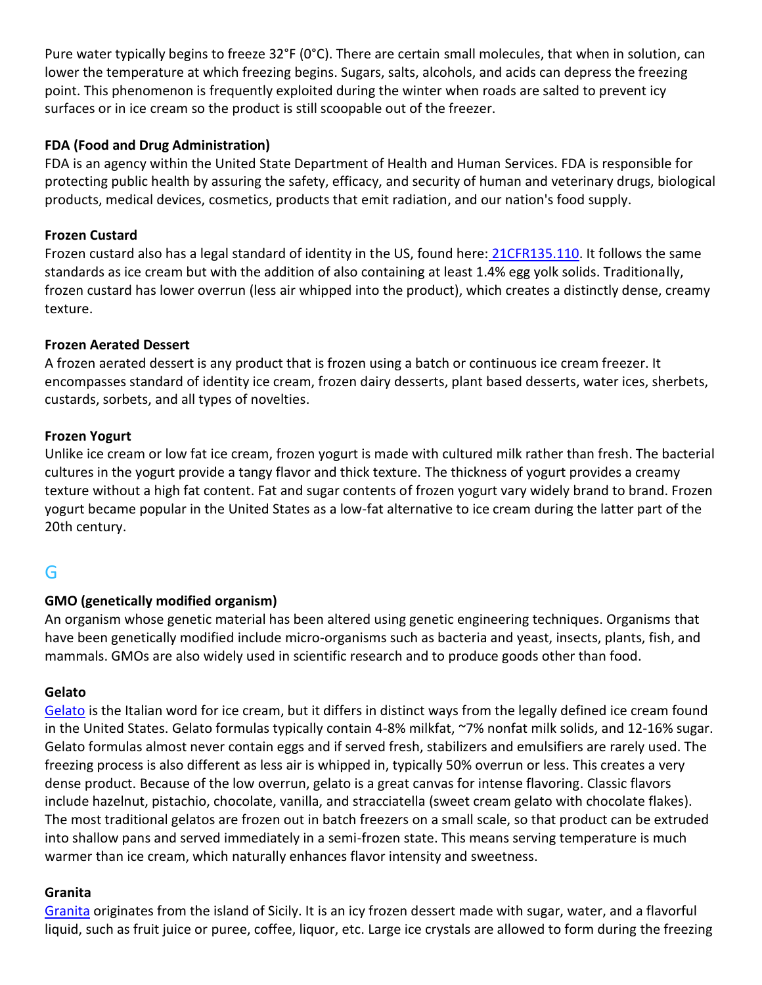Pure water typically begins to freeze 32°F (0°C). There are certain small molecules, that when in solution, can lower the temperature at which freezing begins. Sugars, salts, alcohols, and acids can depress the freezing point. This phenomenon is frequently exploited during the winter when roads are salted to prevent icy surfaces or in ice cream so the product is still scoopable out of the freezer.

## **FDA (Food and Drug Administration)**

FDA is an agency within the United State Department of Health and Human Services. FDA is responsible for protecting public health by assuring the safety, efficacy, and security of human and veterinary drugs, biological products, medical devices, cosmetics, products that emit radiation, and our nation's food supply.

## **Frozen Custard**

Frozen custard also has a legal standard of identity in the US, found here: [21CFR135.110.](https://www.accessdata.fda.gov/scripts/cdrh/cfdocs/cfcfr/CFRSearch.cfm?fr=135.110) It follows the same standards as ice cream but with the addition of also containing at least 1.4% egg yolk solids. Traditionally, frozen custard has lower overrun (less air whipped into the product), which creates a distinctly dense, creamy texture.

## **Frozen Aerated Dessert**

A frozen aerated dessert is any product that is frozen using a batch or continuous ice cream freezer. It encompasses standard of identity ice cream, frozen dairy desserts, plant based desserts, water ices, sherbets, custards, sorbets, and all types of novelties.

## **Frozen Yogurt**

Unlike ice cream or low fat ice cream, frozen yogurt is made with cultured milk rather than fresh. The bacterial cultures in the yogurt provide a tangy flavor and thick texture. The thickness of yogurt provides a creamy texture without a high fat content. Fat and sugar contents of frozen yogurt vary widely brand to brand. Frozen yogurt became popular in the United States as a low-fat alternative to ice cream during the latter part of the 20th century.

# G

## **GMO (genetically modified organism)**

An organism whose genetic material has been altered using genetic engineering techniques. Organisms that have been genetically modified include micro-organisms such as bacteria and yeast, insects, plants, fish, and mammals. GMOs are also widely used in scientific research and to produce goods other than food.

## **Gelato**

[Gelato](https://www.thespruceeats.com/whats-the-difference-between-gelato-and-ice-cream-909197) is the Italian word for ice cream, but it differs in distinct ways from the legally defined ice cream found in the United States. Gelato formulas typically contain 4-8% milkfat, ~7% nonfat milk solids, and 12-16% sugar. Gelato formulas almost never contain eggs and if served fresh, stabilizers and emulsifiers are rarely used. The freezing process is also different as less air is whipped in, typically 50% overrun or less. This creates a very dense product. Because of the low overrun, gelato is a great canvas for intense flavoring. Classic flavors include hazelnut, pistachio, chocolate, vanilla, and stracciatella (sweet cream gelato with chocolate flakes). The most traditional gelatos are frozen out in batch freezers on a small scale, so that product can be extruded into shallow pans and served immediately in a semi-frozen state. This means serving temperature is much warmer than ice cream, which naturally enhances flavor intensity and sweetness.

## **Granita**

[Granita](https://en.wikipedia.org/wiki/Granita) originates from the island of Sicily. It is an icy frozen dessert made with sugar, water, and a flavorful liquid, such as fruit juice or puree, coffee, liquor, etc. Large ice crystals are allowed to form during the freezing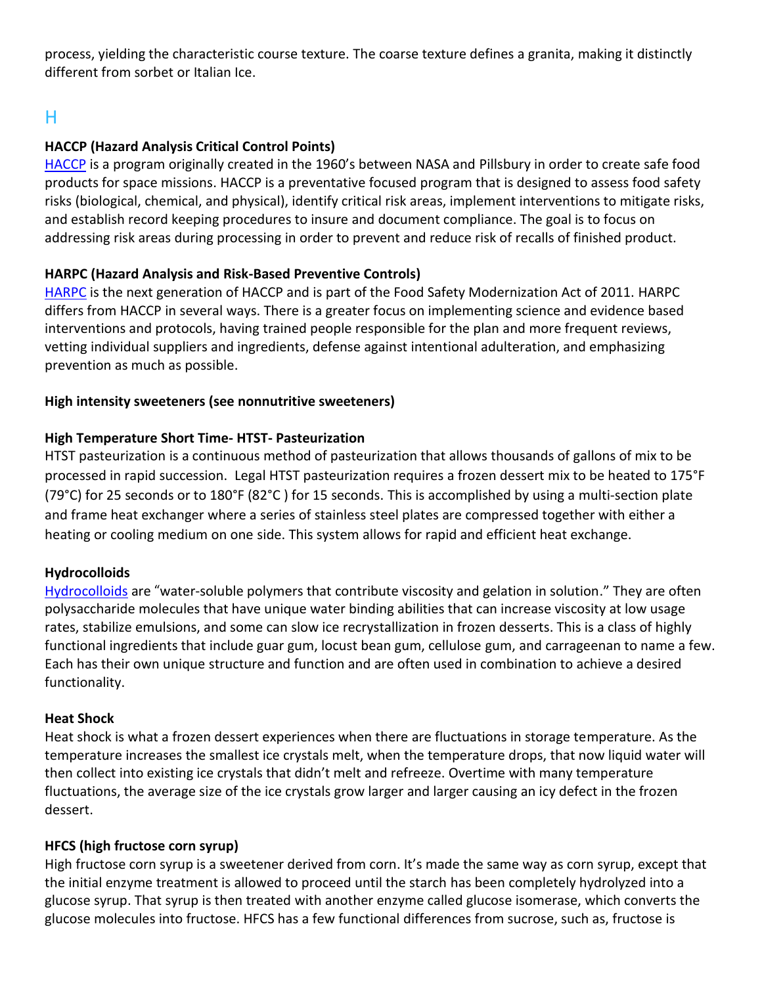process, yielding the characteristic course texture. The coarse texture defines a granita, making it distinctly different from sorbet or Italian Ice.

# H

## **HACCP (Hazard Analysis Critical Control Points)**

[HACCP](https://www.fda.gov/food/hazard-analysis-critical-control-point-haccp/haccp-principles-application-guidelines#princ) is a program originally created in the 1960's between NASA and Pillsbury in order to create safe food products for space missions. HACCP is a preventative focused program that is designed to assess food safety risks (biological, chemical, and physical), identify critical risk areas, implement interventions to mitigate risks, and establish record keeping procedures to insure and document compliance. The goal is to focus on addressing risk areas during processing in order to prevent and reduce risk of recalls of finished product.

## **HARPC (Hazard Analysis and Risk-Based Preventive Controls)**

[HARPC](https://en.wikipedia.org/wiki/Hazard_analysis_and_risk-based_preventive_controls) is the next generation of HACCP and is part of the Food Safety Modernization Act of 2011. HARPC differs from HACCP in several ways. There is a greater focus on implementing science and evidence based interventions and protocols, having trained people responsible for the plan and more frequent reviews, vetting individual suppliers and ingredients, defense against intentional adulteration, and emphasizing prevention as much as possible.

### **High intensity sweeteners (see nonnutritive sweeteners)**

## **High Temperature Short Time- HTST- Pasteurization**

HTST pasteurization is a continuous method of pasteurization that allows thousands of gallons of mix to be processed in rapid succession. Legal HTST pasteurization requires a frozen dessert mix to be heated to 175°F (79°C) for 25 seconds or to 180°F (82°C ) for 15 seconds. This is accomplished by using a multi-section plate and frame heat exchanger where a series of stainless steel plates are compressed together with either a heating or cooling medium on one side. This system allows for rapid and efficient heat exchange.

## **Hydrocolloids**

[Hydrocolloids](https://pubs.rsc.org/en/content/chapterhtml/2019/bk9781788012164-00001?isbn=978-1-78801-216-4) are "water-soluble polymers that contribute viscosity and gelation in solution." They are often polysaccharide molecules that have unique water binding abilities that can increase viscosity at low usage rates, stabilize emulsions, and some can slow ice recrystallization in frozen desserts. This is a class of highly functional ingredients that include guar gum, locust bean gum, cellulose gum, and carrageenan to name a few. Each has their own unique structure and function and are often used in combination to achieve a desired functionality.

#### **Heat Shock**

Heat shock is what a frozen dessert experiences when there are fluctuations in storage temperature. As the temperature increases the smallest ice crystals melt, when the temperature drops, that now liquid water will then collect into existing ice crystals that didn't melt and refreeze. Overtime with many temperature fluctuations, the average size of the ice crystals grow larger and larger causing an icy defect in the frozen dessert.

## **HFCS (high fructose corn syrup)**

High fructose corn syrup is a sweetener derived from corn. It's made the same way as corn syrup, except that the initial enzyme treatment is allowed to proceed until the starch has been completely hydrolyzed into a glucose syrup. That syrup is then treated with another enzyme called glucose isomerase, which converts the glucose molecules into fructose. HFCS has a few functional differences from sucrose, such as, fructose is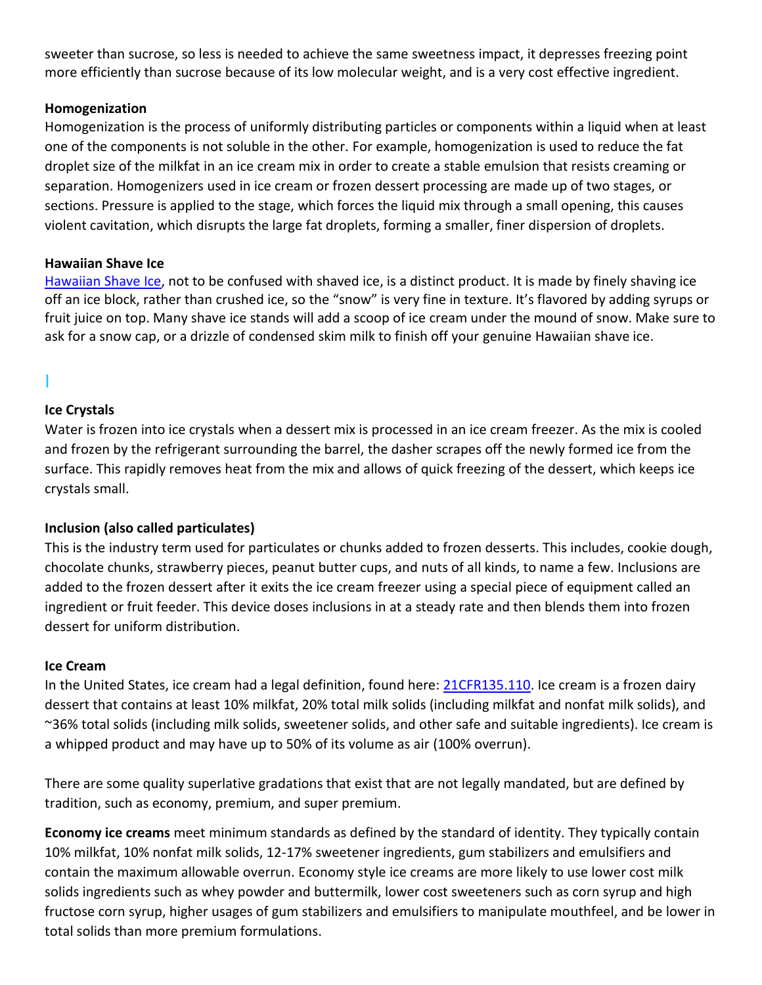sweeter than sucrose, so less is needed to achieve the same sweetness impact, it depresses freezing point more efficiently than sucrose because of its low molecular weight, and is a very cost effective ingredient.

### **Homogenization**

Homogenization is the process of uniformly distributing particles or components within a liquid when at least one of the components is not soluble in the other. For example, homogenization is used to reduce the fat droplet size of the milkfat in an ice cream mix in order to create a stable emulsion that resists creaming or separation. Homogenizers used in ice cream or frozen dessert processing are made up of two stages, or sections. Pressure is applied to the stage, which forces the liquid mix through a small opening, this causes violent cavitation, which disrupts the large fat droplets, forming a smaller, finer dispersion of droplets.

### **Hawaiian Shave Ice**

[Hawaiian Shave Ice,](https://en.wikipedia.org/wiki/Shave_ice) not to be confused with shaved ice, is a distinct product. It is made by finely shaving ice off an ice block, rather than crushed ice, so the "snow" is very fine in texture. It's flavored by adding syrups or fruit juice on top. Many shave ice stands will add a scoop of ice cream under the mound of snow. Make sure to ask for a snow cap, or a drizzle of condensed skim milk to finish off your genuine Hawaiian shave ice.

## I

### **Ice Crystals**

Water is frozen into ice crystals when a dessert mix is processed in an ice cream freezer. As the mix is cooled and frozen by the refrigerant surrounding the barrel, the dasher scrapes off the newly formed ice from the surface. This rapidly removes heat from the mix and allows of quick freezing of the dessert, which keeps ice crystals small.

## **Inclusion (also called particulates)**

This is the industry term used for particulates or chunks added to frozen desserts. This includes, cookie dough, chocolate chunks, strawberry pieces, peanut butter cups, and nuts of all kinds, to name a few. Inclusions are added to the frozen dessert after it exits the ice cream freezer using a special piece of equipment called an ingredient or fruit feeder. This device doses inclusions in at a steady rate and then blends them into frozen dessert for uniform distribution.

#### **Ice Cream**

In the United States, ice cream had a legal definition, found here: [21CFR135.110.](https://www.accessdata.fda.gov/scripts/cdrh/cfdocs/cfcfr/CFRSearch.cfm?fr=135.110) Ice cream is a frozen dairy dessert that contains at least 10% milkfat, 20% total milk solids (including milkfat and nonfat milk solids), and ~36% total solids (including milk solids, sweetener solids, and other safe and suitable ingredients). Ice cream is a whipped product and may have up to 50% of its volume as air (100% overrun).

There are some quality superlative gradations that exist that are not legally mandated, but are defined by tradition, such as economy, premium, and super premium.

**Economy ice creams** meet minimum standards as defined by the standard of identity. They typically contain 10% milkfat, 10% nonfat milk solids, 12-17% sweetener ingredients, gum stabilizers and emulsifiers and contain the maximum allowable overrun. Economy style ice creams are more likely to use lower cost milk solids ingredients such as whey powder and buttermilk, lower cost sweeteners such as corn syrup and high fructose corn syrup, higher usages of gum stabilizers and emulsifiers to manipulate mouthfeel, and be lower in total solids than more premium formulations.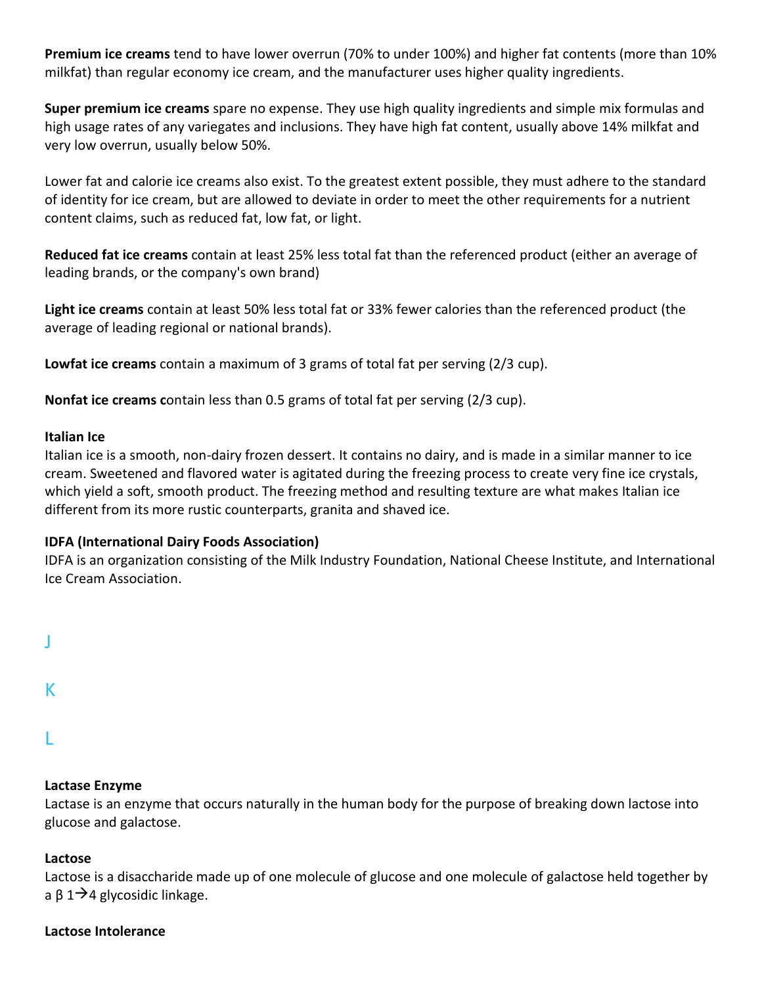**Premium ice creams** tend to have lower overrun (70% to under 100%) and higher fat contents (more than 10% milkfat) than regular economy ice cream, and the manufacturer uses higher quality ingredients.

**Super premium ice creams** spare no expense. They use high quality ingredients and simple mix formulas and high usage rates of any variegates and inclusions. They have high fat content, usually above 14% milkfat and very low overrun, usually below 50%.

Lower fat and calorie ice creams also exist. To the greatest extent possible, they must adhere to the standard of identity for ice cream, but are allowed to deviate in order to meet the other requirements for a nutrient content claims, such as reduced fat, low fat, or light.

**Reduced fat ice creams** contain at least 25% less total fat than the referenced product (either an average of leading brands, or the company's own brand)

**Light ice creams** contain at least 50% less total fat or 33% fewer calories than the referenced product (the average of leading regional or national brands).

**Lowfat ice creams** contain a maximum of 3 grams of total fat per serving (2/3 cup).

**Nonfat ice creams c**ontain less than 0.5 grams of total fat per serving (2/3 cup).

#### **Italian Ice**

Italian ice is a smooth, non-dairy frozen dessert. It contains no dairy, and is made in a similar manner to ice cream. Sweetened and flavored water is agitated during the freezing process to create very fine ice crystals, which yield a soft, smooth product. The freezing method and resulting texture are what makes Italian ice different from its more rustic counterparts, granita and shaved ice.

#### **IDFA (International Dairy Foods Association)**

IDFA is an organization consisting of the Milk Industry Foundation, National Cheese Institute, and International Ice Cream Association.

| ٦ |  |  |
|---|--|--|
|   |  |  |
|   |  |  |

K

L

#### **Lactase Enzyme**

Lactase is an enzyme that occurs naturally in the human body for the purpose of breaking down lactose into glucose and galactose.

#### **Lactose**

Lactose is a disaccharide made up of one molecule of glucose and one molecule of galactose held together by a β 1 $\rightarrow$ 4 glycosidic linkage.

#### **Lactose Intolerance**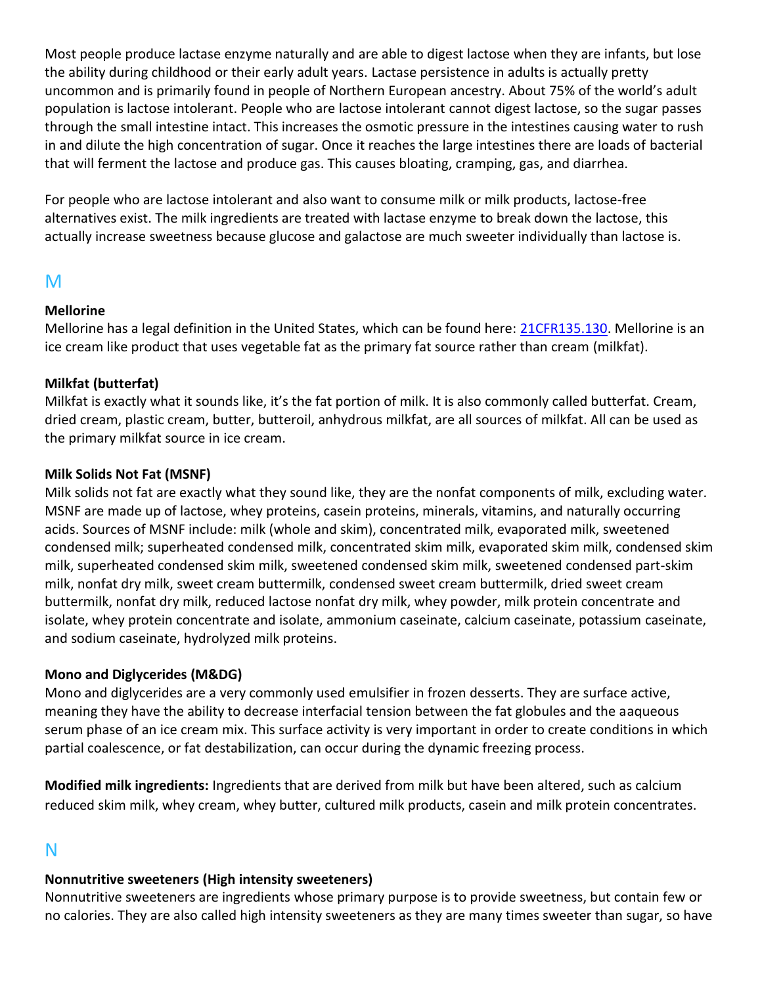Most people produce lactase enzyme naturally and are able to digest lactose when they are infants, but lose the ability during childhood or their early adult years. Lactase persistence in adults is actually pretty uncommon and is primarily found in people of Northern European ancestry. About 75% of the world's adult population is lactose intolerant. People who are lactose intolerant cannot digest lactose, so the sugar passes through the small intestine intact. This increases the osmotic pressure in the intestines causing water to rush in and dilute the high concentration of sugar. Once it reaches the large intestines there are loads of bacterial that will ferment the lactose and produce gas. This causes bloating, cramping, gas, and diarrhea.

For people who are lactose intolerant and also want to consume milk or milk products, lactose-free alternatives exist. The milk ingredients are treated with lactase enzyme to break down the lactose, this actually increase sweetness because glucose and galactose are much sweeter individually than lactose is.

# M

### **Mellorine**

Mellorine has a legal definition in the United States, which can be found here: [21CFR135.130.](https://www.accessdata.fda.gov/scripts/cdrh/cfdocs/cfcfr/CFRSearch.cfm?fr=135.130) Mellorine is an ice cream like product that uses vegetable fat as the primary fat source rather than cream (milkfat).

## **Milkfat (butterfat)**

Milkfat is exactly what it sounds like, it's the fat portion of milk. It is also commonly called butterfat. Cream, dried cream, plastic cream, butter, butteroil, anhydrous milkfat, are all sources of milkfat. All can be used as the primary milkfat source in ice cream.

### **Milk Solids Not Fat (MSNF)**

Milk solids not fat are exactly what they sound like, they are the nonfat components of milk, excluding water. MSNF are made up of lactose, whey proteins, casein proteins, minerals, vitamins, and naturally occurring acids. Sources of MSNF include: milk (whole and skim), concentrated milk, evaporated milk, sweetened condensed milk; superheated condensed milk, concentrated skim milk, evaporated skim milk, condensed skim milk, superheated condensed skim milk, sweetened condensed skim milk, sweetened condensed part-skim milk, nonfat dry milk, sweet cream buttermilk, condensed sweet cream buttermilk, dried sweet cream buttermilk, nonfat dry milk, reduced lactose nonfat dry milk, whey powder, milk protein concentrate and isolate, whey protein concentrate and isolate, ammonium caseinate, calcium caseinate, potassium caseinate, and sodium caseinate, hydrolyzed milk proteins.

## **Mono and Diglycerides (M&DG)**

Mono and diglycerides are a very commonly used emulsifier in frozen desserts. They are surface active, meaning they have the ability to decrease interfacial tension between the fat globules and the aaqueous serum phase of an ice cream mix. This surface activity is very important in order to create conditions in which partial coalescence, or fat destabilization, can occur during the dynamic freezing process.

**Modified milk ingredients:** Ingredients that are derived from milk but have been altered, such as calcium reduced skim milk, whey cream, whey butter, cultured milk products, casein and milk protein concentrates.

# N

# **Nonnutritive sweeteners (High intensity sweeteners)**

Nonnutritive sweeteners are ingredients whose primary purpose is to provide sweetness, but contain few or no calories. They are also called high intensity sweeteners as they are many times sweeter than sugar, so have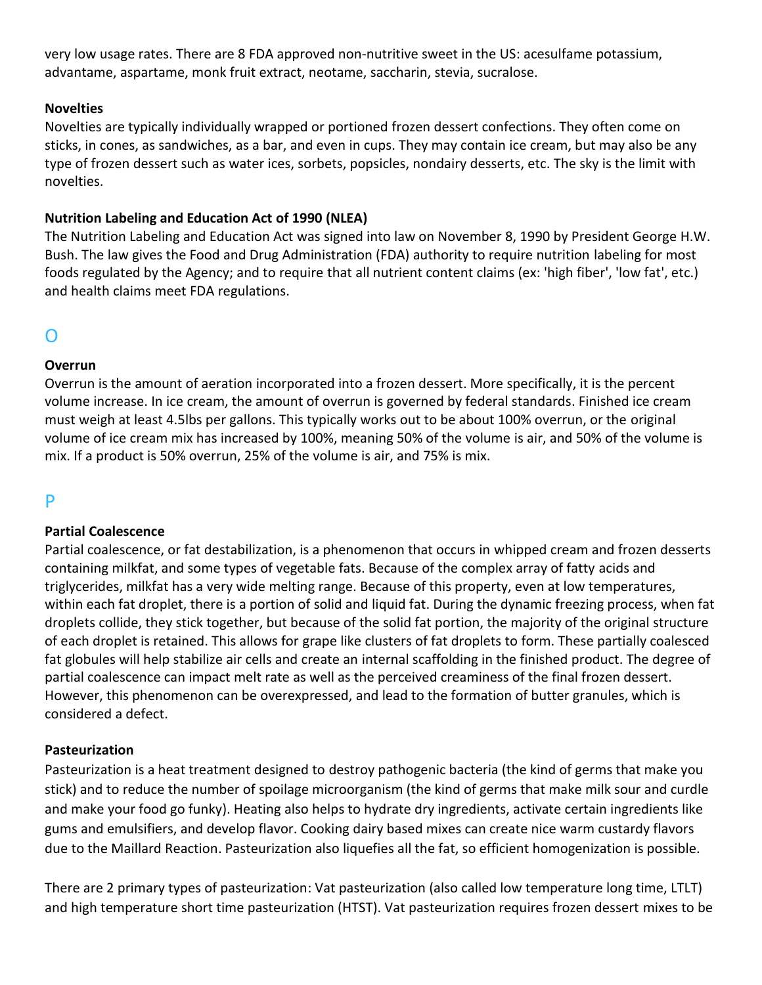very low usage rates. There are 8 FDA approved non-nutritive sweet in the US: acesulfame potassium, advantame, aspartame, monk fruit extract, neotame, saccharin, stevia, sucralose.

### **Novelties**

Novelties are typically individually wrapped or portioned frozen dessert confections. They often come on sticks, in cones, as sandwiches, as a bar, and even in cups. They may contain ice cream, but may also be any type of frozen dessert such as water ices, sorbets, popsicles, nondairy desserts, etc. The sky is the limit with novelties.

### **Nutrition Labeling and Education Act of 1990 (NLEA)**

The Nutrition Labeling and Education Act was signed into law on November 8, 1990 by President George H.W. Bush. The law gives the Food and Drug Administration (FDA) authority to require nutrition labeling for most foods regulated by the Agency; and to require that all nutrient content claims (ex: 'high fiber', 'low fat', etc.) and health claims meet FDA regulations.

# O

## **Overrun**

Overrun is the amount of aeration incorporated into a frozen dessert. More specifically, it is the percent volume increase. In ice cream, the amount of overrun is governed by federal standards. Finished ice cream must weigh at least 4.5lbs per gallons. This typically works out to be about 100% overrun, or the original volume of ice cream mix has increased by 100%, meaning 50% of the volume is air, and 50% of the volume is mix. If a product is 50% overrun, 25% of the volume is air, and 75% is mix.

# P

## **Partial Coalescence**

Partial coalescence, or fat destabilization, is a phenomenon that occurs in whipped cream and frozen desserts containing milkfat, and some types of vegetable fats. Because of the complex array of fatty acids and triglycerides, milkfat has a very wide melting range. Because of this property, even at low temperatures, within each fat droplet, there is a portion of solid and liquid fat. During the dynamic freezing process, when fat droplets collide, they stick together, but because of the solid fat portion, the majority of the original structure of each droplet is retained. This allows for grape like clusters of fat droplets to form. These partially coalesced fat globules will help stabilize air cells and create an internal scaffolding in the finished product. The degree of partial coalescence can impact melt rate as well as the perceived creaminess of the final frozen dessert. However, this phenomenon can be overexpressed, and lead to the formation of butter granules, which is considered a defect.

#### **Pasteurization**

Pasteurization is a heat treatment designed to destroy pathogenic bacteria (the kind of germs that make you stick) and to reduce the number of spoilage microorganism (the kind of germs that make milk sour and curdle and make your food go funky). Heating also helps to hydrate dry ingredients, activate certain ingredients like gums and emulsifiers, and develop flavor. Cooking dairy based mixes can create nice warm custardy flavors due to the Maillard Reaction. Pasteurization also liquefies all the fat, so efficient homogenization is possible.

There are 2 primary types of pasteurization: Vat pasteurization (also called low temperature long time, LTLT) and high temperature short time pasteurization (HTST). Vat pasteurization requires frozen dessert mixes to be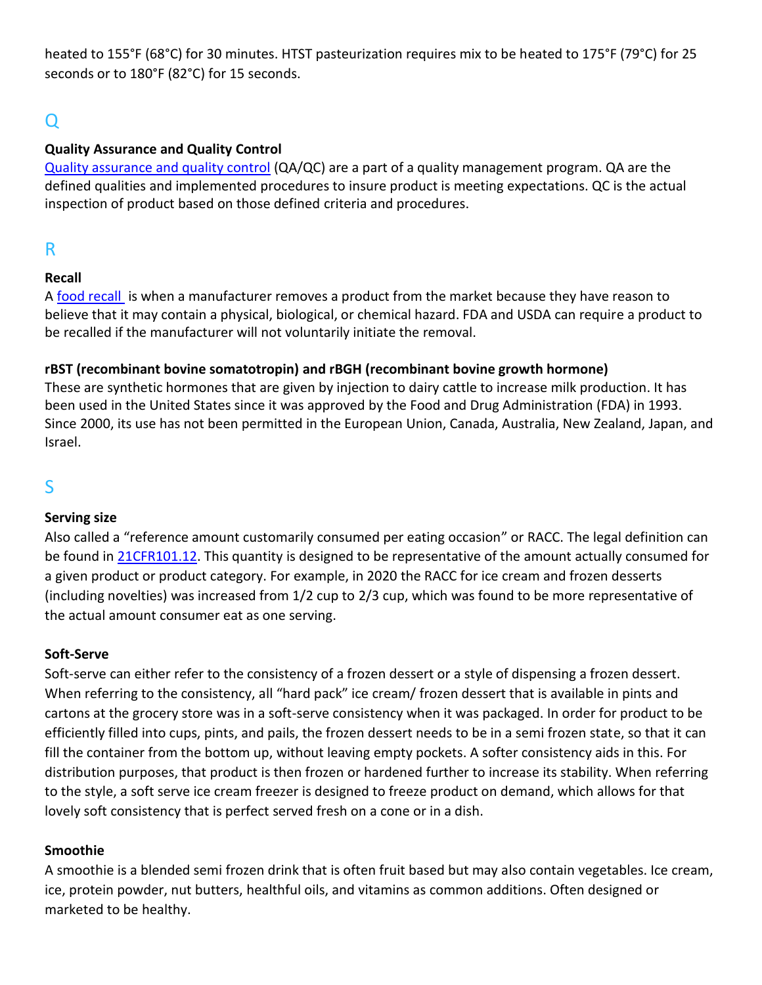heated to 155°F (68°C) for 30 minutes. HTST pasteurization requires mix to be heated to 175°F (79°C) for 25 seconds or to 180°F (82°C) for 15 seconds.

# Q

## **Quality Assurance and Quality Control**

[Quality assurance and quality control](https://asq.org/quality-resources/quality-assurance-vs-control) (QA/QC) are a part of a quality management program. QA are the defined qualities and implemented procedures to insure product is meeting expectations. QC is the actual inspection of product based on those defined criteria and procedures.

# R

## **Recall**

A [food recall](https://www.foodsafety.gov/recalls-and-outbreaks) is when a manufacturer removes a product from the market because they have reason to believe that it may contain a physical, biological, or chemical hazard. FDA and USDA can require a product to be recalled if the manufacturer will not voluntarily initiate the removal.

## **rBST (recombinant bovine somatotropin) and rBGH (recombinant bovine growth hormone)**

These are synthetic hormones that are given by injection to dairy cattle to increase milk production. It has been used in the United States since it was approved by the Food and Drug Administration (FDA) in 1993. Since 2000, its use has not been permitted in the European Union, Canada, Australia, New Zealand, Japan, and Israel.

# S

## **Serving size**

Also called a "reference amount customarily consumed per eating occasion" or RACC. The legal definition can be found in [21CFR101.12.](https://www.accessdata.fda.gov/scripts/cdrh/cfdocs/cfcfr/cfrsearch.cfm?fr=101.12) This quantity is designed to be representative of the amount actually consumed for a given product or product category. For example, in 2020 the RACC for ice cream and frozen desserts (including novelties) was increased from 1/2 cup to 2/3 cup, which was found to be more representative of the actual amount consumer eat as one serving.

## **Soft-Serve**

Soft-serve can either refer to the consistency of a frozen dessert or a style of dispensing a frozen dessert. When referring to the consistency, all "hard pack" ice cream/ frozen dessert that is available in pints and cartons at the grocery store was in a soft-serve consistency when it was packaged. In order for product to be efficiently filled into cups, pints, and pails, the frozen dessert needs to be in a semi frozen state, so that it can fill the container from the bottom up, without leaving empty pockets. A softer consistency aids in this. For distribution purposes, that product is then frozen or hardened further to increase its stability. When referring to the style, a soft serve ice cream freezer is designed to freeze product on demand, which allows for that lovely soft consistency that is perfect served fresh on a cone or in a dish.

## **Smoothie**

A smoothie is a blended semi frozen drink that is often fruit based but may also contain vegetables. Ice cream, ice, protein powder, nut butters, healthful oils, and vitamins as common additions. Often designed or marketed to be healthy.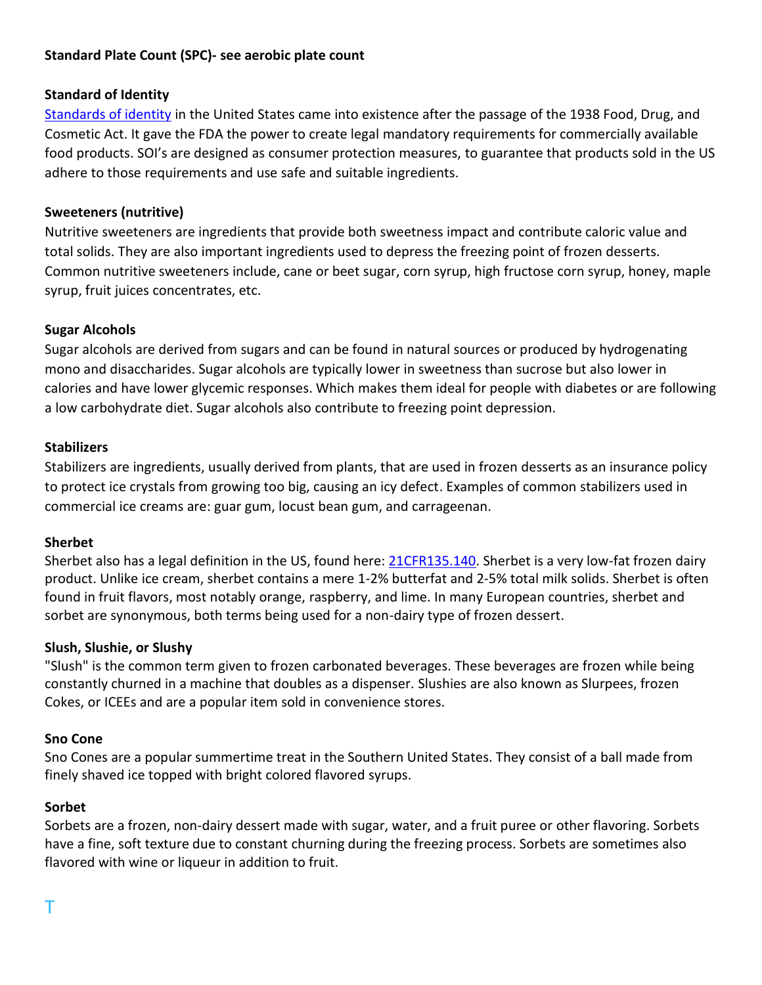## **Standard Plate Count (SPC)- see aerobic plate count**

## **Standard of Identity**

[Standards of identity](https://www.fda.gov/about-fda/histories-product-regulation/food-standards-and-peanut-butter-jelly-sandwich) in the United States came into existence after the passage of the 1938 Food, Drug, and Cosmetic Act. It gave the FDA the power to create legal mandatory requirements for commercially available food products. SOI's are designed as consumer protection measures, to guarantee that products sold in the US adhere to those requirements and use safe and suitable ingredients.

### **Sweeteners (nutritive)**

Nutritive sweeteners are ingredients that provide both sweetness impact and contribute caloric value and total solids. They are also important ingredients used to depress the freezing point of frozen desserts. Common nutritive sweeteners include, cane or beet sugar, corn syrup, high fructose corn syrup, honey, maple syrup, fruit juices concentrates, etc.

### **Sugar Alcohols**

Sugar alcohols are derived from sugars and can be found in natural sources or produced by hydrogenating mono and disaccharides. Sugar alcohols are typically lower in sweetness than sucrose but also lower in calories and have lower glycemic responses. Which makes them ideal for people with diabetes or are following a low carbohydrate diet. Sugar alcohols also contribute to freezing point depression.

#### **Stabilizers**

Stabilizers are ingredients, usually derived from plants, that are used in frozen desserts as an insurance policy to protect ice crystals from growing too big, causing an icy defect. Examples of common stabilizers used in commercial ice creams are: guar gum, locust bean gum, and carrageenan.

#### **Sherbet**

Sherbet also has a legal definition in the US, found here: [21CFR135.140.](https://www.accessdata.fda.gov/scripts/cdrh/cfdocs/cfcfr/CFRSearch.cfm?fr=135.140) Sherbet is a very low-fat frozen dairy product. Unlike ice cream, sherbet contains a mere 1-2% butterfat and 2-5% total milk solids. Sherbet is often found in fruit flavors, most notably orange, raspberry, and lime. In many European countries, sherbet and sorbet are synonymous, both terms being used for a non-dairy type of frozen dessert.

#### **Slush, Slushie, or Slushy**

"Slush" is the common term given to frozen carbonated beverages. These beverages are frozen while being constantly churned in a machine that doubles as a dispenser. Slushies are also known as Slurpees, frozen Cokes, or ICEEs and are a popular item sold in convenience stores.

#### **Sno Cone**

Sno Cones are a popular summertime treat in the Southern United States. They consist of a ball made from finely shaved ice topped with bright colored flavored syrups.

#### **Sorbet**

Sorbets are a frozen, non-dairy dessert made with sugar, water, and a fruit puree or other flavoring. Sorbets have a fine, soft texture due to constant churning during the freezing process. Sorbets are sometimes also flavored with wine or liqueur in addition to fruit.